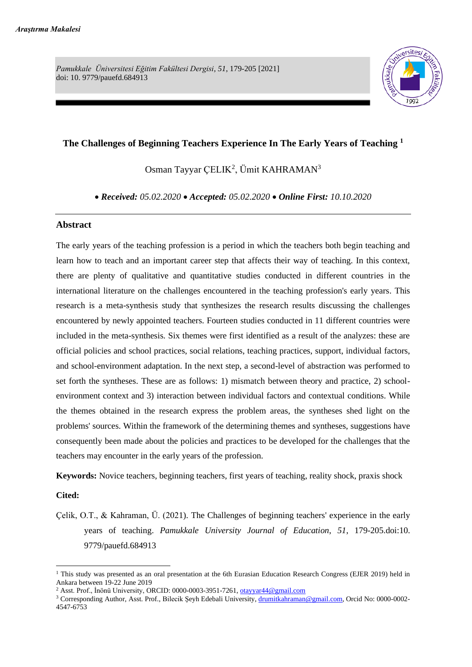*Pamukkale Üniversitesi Eğitim Fakültesi Dergisi, 51*, 179-205 [2021] doi: 10. 9779/pauefd.684913



# **The Challenges of Beginning Teachers Experience In The Early Years of Teaching <sup>1</sup>**

Osman Tayyar ÇELIK<sup>2</sup>, Ümit KAHRAMAN<sup>3</sup>

• *Received: 05.02.2020* • *Accepted: 05.02.2020* • *Online First: 10.10.2020*

#### **Abstract**

The early years of the teaching profession is a period in which the teachers both begin teaching and learn how to teach and an important career step that affects their way of teaching. In this context, there are plenty of qualitative and quantitative studies conducted in different countries in the international literature on the challenges encountered in the teaching profession's early years. This research is a meta-synthesis study that synthesizes the research results discussing the challenges encountered by newly appointed teachers. Fourteen studies conducted in 11 different countries were included in the meta-synthesis. Six themes were first identified as a result of the analyzes: these are official policies and school practices, social relations, teaching practices, support, individual factors, and school-environment adaptation. In the next step, a second-level of abstraction was performed to set forth the syntheses. These are as follows: 1) mismatch between theory and practice, 2) schoolenvironment context and 3) interaction between individual factors and contextual conditions. While the themes obtained in the research express the problem areas, the syntheses shed light on the problems' sources. Within the framework of the determining themes and syntheses, suggestions have consequently been made about the policies and practices to be developed for the challenges that the teachers may encounter in the early years of the profession.

**Keywords:** Novice teachers, beginning teachers, first years of teaching, reality shock, praxis shock

#### **Cited:**

Çelik, O.T., & Kahraman, Ü. (2021). The Challenges of beginning teachers' experience in the early years of teaching. *Pamukkale University Journal of Education*, *51*, 179-205.doi:10. 9779/pauefd.684913

<sup>&</sup>lt;sup>1</sup> This study was presented as an oral presentation at the 6th Eurasian Education Research Congress (EJER 2019) held in Ankara between 19-22 June 2019

<sup>&</sup>lt;sup>2</sup> Asst. Prof., İnönü University, ORCID: 0000-0003-3951-7261, [otayyar44@gmail.com](mailto:otayyar44@gmail.com)

<sup>&</sup>lt;sup>3</sup> Corresponding Author, Asst. Prof., Bilecik Şeyh Edebali University, [drumitkahraman@gmail.com,](mailto:drumitkahraman@gmail.com) Orcid No: 0000-0002-4547-6753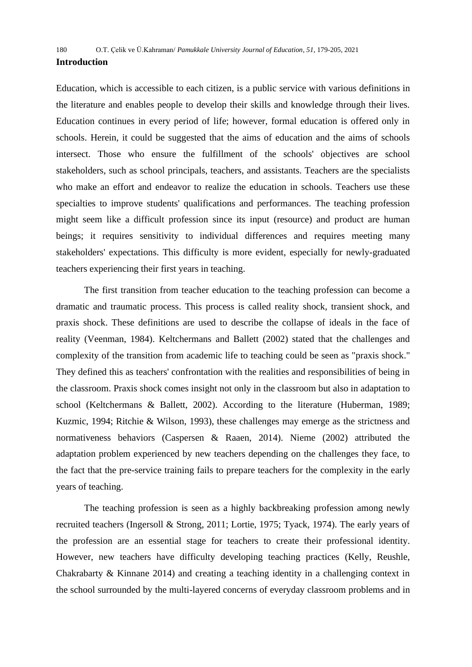Education, which is accessible to each citizen, is a public service with various definitions in the literature and enables people to develop their skills and knowledge through their lives. Education continues in every period of life; however, formal education is offered only in schools. Herein, it could be suggested that the aims of education and the aims of schools intersect. Those who ensure the fulfillment of the schools' objectives are school stakeholders, such as school principals, teachers, and assistants. Teachers are the specialists who make an effort and endeavor to realize the education in schools. Teachers use these specialties to improve students' qualifications and performances. The teaching profession might seem like a difficult profession since its input (resource) and product are human beings; it requires sensitivity to individual differences and requires meeting many stakeholders' expectations. This difficulty is more evident, especially for newly-graduated teachers experiencing their first years in teaching.

The first transition from teacher education to the teaching profession can become a dramatic and traumatic process. This process is called reality shock, transient shock, and praxis shock. These definitions are used to describe the collapse of ideals in the face of reality (Veenman, 1984). Keltchermans and Ballett (2002) stated that the challenges and complexity of the transition from academic life to teaching could be seen as "praxis shock." They defined this as teachers' confrontation with the realities and responsibilities of being in the classroom. Praxis shock comes insight not only in the classroom but also in adaptation to school (Keltchermans & Ballett, 2002). According to the literature (Huberman, 1989; Kuzmic, 1994; Ritchie & Wilson, 1993), these challenges may emerge as the strictness and normativeness behaviors (Caspersen & Raaen, 2014). Nieme (2002) attributed the adaptation problem experienced by new teachers depending on the challenges they face, to the fact that the pre-service training fails to prepare teachers for the complexity in the early years of teaching.

The teaching profession is seen as a highly backbreaking profession among newly recruited teachers (Ingersoll & Strong, 2011; Lortie, 1975; Tyack, 1974). The early years of the profession are an essential stage for teachers to create their professional identity. However, new teachers have difficulty developing teaching practices (Kelly, Reushle, Chakrabarty & Kinnane 2014) and creating a teaching identity in a challenging context in the school surrounded by the multi-layered concerns of everyday classroom problems and in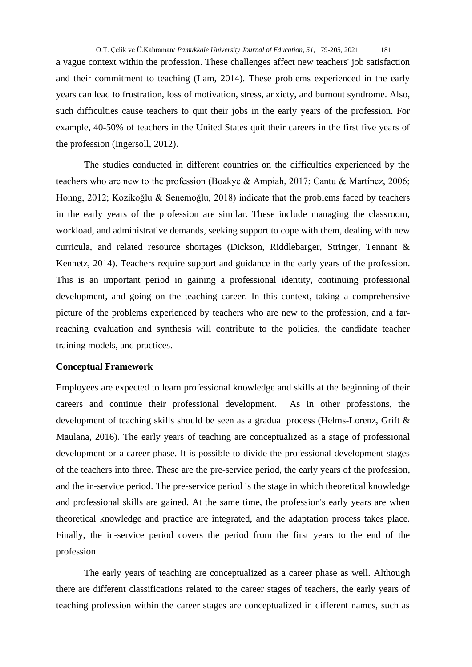a vague context within the profession. These challenges affect new teachers' job satisfaction and their commitment to teaching (Lam, 2014). These problems experienced in the early years can lead to frustration, loss of motivation, stress, anxiety, and burnout syndrome. Also, such difficulties cause teachers to quit their jobs in the early years of the profession. For example, 40-50% of teachers in the United States quit their careers in the first five years of the profession (Ingersoll, 2012).

The studies conducted in different countries on the difficulties experienced by the teachers who are new to the profession (Boakye & Ampiah, 2017; Cantu & Martínez, 2006; Honng, 2012; Kozikoğlu & Senemoğlu, 2018) indicate that the problems faced by teachers in the early years of the profession are similar. These include managing the classroom, workload, and administrative demands, seeking support to cope with them, dealing with new curricula, and related resource shortages (Dickson, Riddlebarger, Stringer, Tennant & Kennetz, 2014). Teachers require support and guidance in the early years of the profession. This is an important period in gaining a professional identity, continuing professional development, and going on the teaching career. In this context, taking a comprehensive picture of the problems experienced by teachers who are new to the profession, and a farreaching evaluation and synthesis will contribute to the policies, the candidate teacher training models, and practices.

#### **Conceptual Framework**

Employees are expected to learn professional knowledge and skills at the beginning of their careers and continue their professional development. As in other professions, the development of teaching skills should be seen as a gradual process (Helms-Lorenz, Grift & Maulana, 2016). The early years of teaching are conceptualized as a stage of professional development or a career phase. It is possible to divide the professional development stages of the teachers into three. These are the pre-service period, the early years of the profession, and the in-service period. The pre-service period is the stage in which theoretical knowledge and professional skills are gained. At the same time, the profession's early years are when theoretical knowledge and practice are integrated, and the adaptation process takes place. Finally, the in-service period covers the period from the first years to the end of the profession.

The early years of teaching are conceptualized as a career phase as well. Although there are different classifications related to the career stages of teachers, the early years of teaching profession within the career stages are conceptualized in different names, such as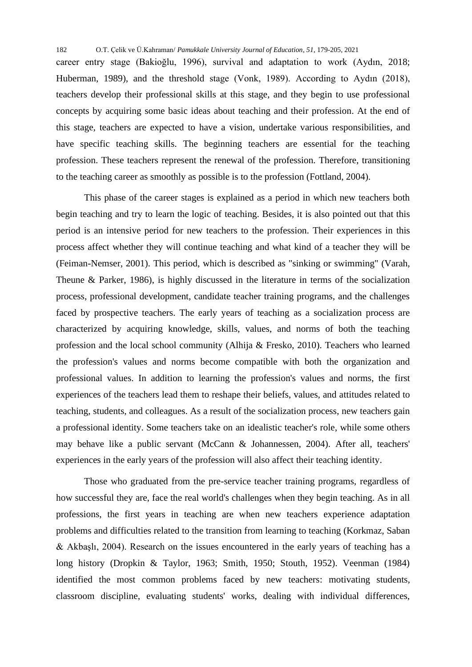career entry stage (Bakioğlu, 1996), survival and adaptation to work (Aydın, 2018; Huberman, 1989), and the threshold stage (Vonk, 1989). According to Aydın (2018), teachers develop their professional skills at this stage, and they begin to use professional concepts by acquiring some basic ideas about teaching and their profession. At the end of this stage, teachers are expected to have a vision, undertake various responsibilities, and have specific teaching skills. The beginning teachers are essential for the teaching profession. These teachers represent the renewal of the profession. Therefore, transitioning to the teaching career as smoothly as possible is to the profession (Fottland, 2004).

This phase of the career stages is explained as a period in which new teachers both begin teaching and try to learn the logic of teaching. Besides, it is also pointed out that this period is an intensive period for new teachers to the profession. Their experiences in this process affect whether they will continue teaching and what kind of a teacher they will be (Feiman-Nemser, 2001). This period, which is described as "sinking or swimming" (Varah, Theune & Parker, 1986), is highly discussed in the literature in terms of the socialization process, professional development, candidate teacher training programs, and the challenges faced by prospective teachers. The early years of teaching as a socialization process are characterized by acquiring knowledge, skills, values, and norms of both the teaching profession and the local school community (Alhija & Fresko, 2010). Teachers who learned the profession's values and norms become compatible with both the organization and professional values. In addition to learning the profession's values and norms, the first experiences of the teachers lead them to reshape their beliefs, values, and attitudes related to teaching, students, and colleagues. As a result of the socialization process, new teachers gain a professional identity. Some teachers take on an idealistic teacher's role, while some others may behave like a public servant (McCann & Johannessen, 2004). After all, teachers' experiences in the early years of the profession will also affect their teaching identity.

Those who graduated from the pre-service teacher training programs, regardless of how successful they are, face the real world's challenges when they begin teaching. As in all professions, the first years in teaching are when new teachers experience adaptation problems and difficulties related to the transition from learning to teaching (Korkmaz, Saban & Akbaşlı, 2004). Research on the issues encountered in the early years of teaching has a long history (Dropkin & Taylor, 1963; Smith, 1950; Stouth, 1952). Veenman (1984) identified the most common problems faced by new teachers: motivating students, classroom discipline, evaluating students' works, dealing with individual differences,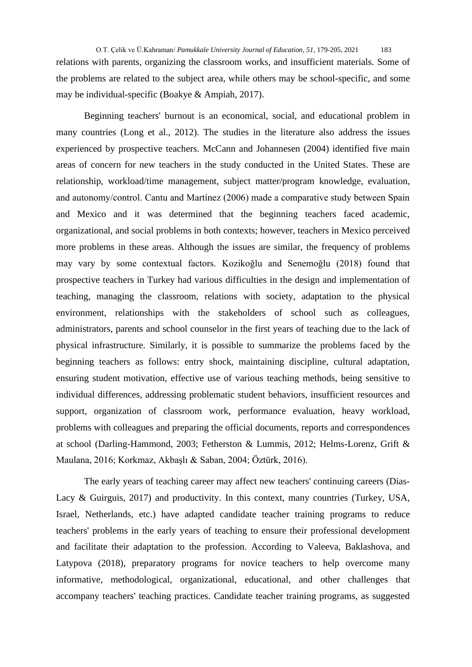O.T. Çelik ve Ü.Kahraman/ *Pamukkale University Journal of Education*, *51*, 179-205, 2021 183 relations with parents, organizing the classroom works, and insufficient materials. Some of the problems are related to the subject area, while others may be school-specific, and some may be individual-specific (Boakye & Ampiah, 2017).

Beginning teachers' burnout is an economical, social, and educational problem in many countries (Long et al., 2012). The studies in the literature also address the issues experienced by prospective teachers. McCann and Johannesen (2004) identified five main areas of concern for new teachers in the study conducted in the United States. These are relationship, workload/time management, subject matter/program knowledge, evaluation, and autonomy/control. Cantu and Martínez (2006) made a comparative study between Spain and Mexico and it was determined that the beginning teachers faced academic, organizational, and social problems in both contexts; however, teachers in Mexico perceived more problems in these areas. Although the issues are similar, the frequency of problems may vary by some contextual factors. Kozikoğlu and Senemoğlu (2018) found that prospective teachers in Turkey had various difficulties in the design and implementation of teaching, managing the classroom, relations with society, adaptation to the physical environment, relationships with the stakeholders of school such as colleagues, administrators, parents and school counselor in the first years of teaching due to the lack of physical infrastructure. Similarly, it is possible to summarize the problems faced by the beginning teachers as follows: entry shock, maintaining discipline, cultural adaptation, ensuring student motivation, effective use of various teaching methods, being sensitive to individual differences, addressing problematic student behaviors, insufficient resources and support, organization of classroom work, performance evaluation, heavy workload, problems with colleagues and preparing the official documents, reports and correspondences at school (Darling-Hammond, 2003; Fetherston & Lummis, 2012; Helms-Lorenz, Grift & Maulana, 2016; Korkmaz, Akbaşlı & Saban, 2004; Öztürk, 2016).

The early years of teaching career may affect new teachers' continuing careers (Dias-Lacy & Guirguis, 2017) and productivity. In this context, many countries (Turkey, USA, Israel, Netherlands, etc.) have adapted candidate teacher training programs to reduce teachers' problems in the early years of teaching to ensure their professional development and facilitate their adaptation to the profession. According to Valeeva, Baklashova, and Latypova (2018), preparatory programs for novice teachers to help overcome many informative, methodological, organizational, educational, and other challenges that accompany teachers' teaching practices. Candidate teacher training programs, as suggested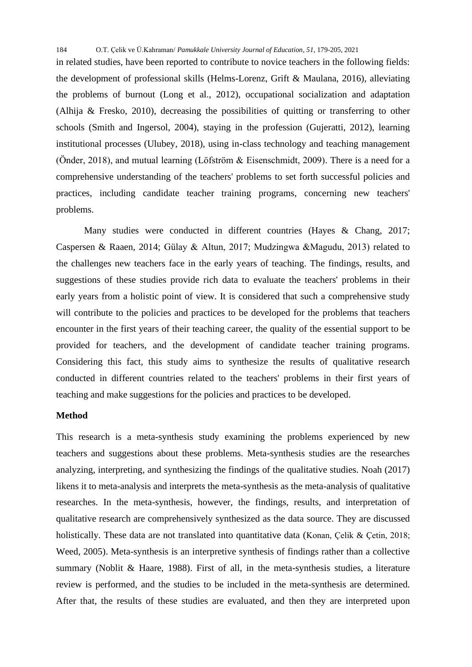in related studies, have been reported to contribute to novice teachers in the following fields: the development of professional skills (Helms-Lorenz, Grift & Maulana, 2016), alleviating the problems of burnout (Long et al., 2012), occupational socialization and adaptation (Alhija & Fresko, 2010), decreasing the possibilities of quitting or transferring to other schools (Smith and Ingersol, 2004), staying in the profession (Gujeratti, 2012), learning institutional processes (Ulubey, 2018), using in-class technology and teaching management (Önder, 2018), and mutual learning (Löfström & Eisenschmidt, 2009). There is a need for a comprehensive understanding of the teachers' problems to set forth successful policies and practices, including candidate teacher training programs, concerning new teachers' problems.

Many studies were conducted in different countries (Hayes & Chang, 2017; Caspersen & Raaen, 2014; Gülay & Altun, 2017; Mudzingwa &Magudu, 2013) related to the challenges new teachers face in the early years of teaching. The findings, results, and suggestions of these studies provide rich data to evaluate the teachers' problems in their early years from a holistic point of view. It is considered that such a comprehensive study will contribute to the policies and practices to be developed for the problems that teachers encounter in the first years of their teaching career, the quality of the essential support to be provided for teachers, and the development of candidate teacher training programs. Considering this fact, this study aims to synthesize the results of qualitative research conducted in different countries related to the teachers' problems in their first years of teaching and make suggestions for the policies and practices to be developed.

## **Method**

This research is a meta-synthesis study examining the problems experienced by new teachers and suggestions about these problems. Meta-synthesis studies are the researches analyzing, interpreting, and synthesizing the findings of the qualitative studies. Noah (2017) likens it to meta-analysis and interprets the meta-synthesis as the meta-analysis of qualitative researches. In the meta-synthesis, however, the findings, results, and interpretation of qualitative research are comprehensively synthesized as the data source. They are discussed holistically. These data are not translated into quantitative data (Konan, Çelik & Çetin, 2018; Weed, 2005). Meta-synthesis is an interpretive synthesis of findings rather than a collective summary (Noblit & Haare, 1988). First of all, in the meta-synthesis studies, a literature review is performed, and the studies to be included in the meta-synthesis are determined. After that, the results of these studies are evaluated, and then they are interpreted upon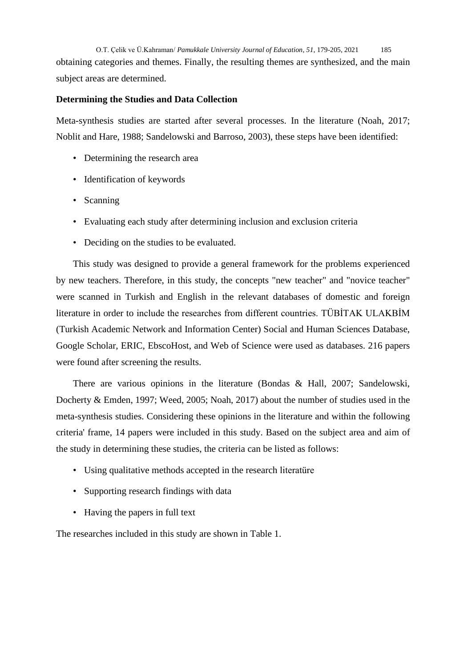O.T. Çelik ve Ü.Kahraman/ *Pamukkale University Journal of Education*, *51*, 179-205, 2021 185 obtaining categories and themes. Finally, the resulting themes are synthesized, and the main subject areas are determined.

## **Determining the Studies and Data Collection**

Meta-synthesis studies are started after several processes. In the literature (Noah, 2017; Noblit and Hare, 1988; Sandelowski and Barroso, 2003), these steps have been identified:

- Determining the research area
- Identification of keywords
- Scanning
- Evaluating each study after determining inclusion and exclusion criteria
- Deciding on the studies to be evaluated.

This study was designed to provide a general framework for the problems experienced by new teachers. Therefore, in this study, the concepts "new teacher" and "novice teacher" were scanned in Turkish and English in the relevant databases of domestic and foreign literature in order to include the researches from different countries. TÜBİTAK ULAKBİM (Turkish Academic Network and Information Center) Social and Human Sciences Database, Google Scholar, ERIC, EbscoHost, and Web of Science were used as databases. 216 papers were found after screening the results.

There are various opinions in the literature (Bondas & Hall, 2007; Sandelowski, Docherty & Emden, 1997; Weed, 2005; Noah, 2017) about the number of studies used in the meta-synthesis studies. Considering these opinions in the literature and within the following criteria' frame, 14 papers were included in this study. Based on the subject area and aim of the study in determining these studies, the criteria can be listed as follows:

- Using qualitative methods accepted in the research literatüre
- Supporting research findings with data
- Having the papers in full text

The researches included in this study are shown in Table 1.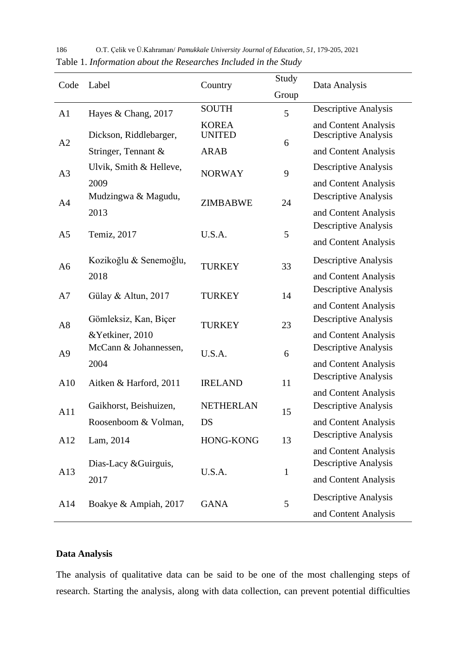| Code           | Label                         | Country                       | Study        | Data Analysis                                       |
|----------------|-------------------------------|-------------------------------|--------------|-----------------------------------------------------|
|                |                               |                               | Group        |                                                     |
| A <sub>1</sub> | Hayes & Chang, 2017           | <b>SOUTH</b>                  | 5            | Descriptive Analysis                                |
| A2             | Dickson, Riddlebarger,        | <b>KOREA</b><br><b>UNITED</b> | 6            | and Content Analysis<br><b>Descriptive Analysis</b> |
|                | Stringer, Tennant &           | <b>ARAB</b>                   |              | and Content Analysis                                |
| A <sub>3</sub> | Ulvik, Smith & Helleve,       | <b>NORWAY</b>                 | 9            | <b>Descriptive Analysis</b>                         |
|                | 2009                          |                               |              | and Content Analysis                                |
| A <sub>4</sub> | Mudzingwa & Magudu,           | <b>ZIMBABWE</b>               | 24           | <b>Descriptive Analysis</b>                         |
|                | 2013                          |                               |              | and Content Analysis                                |
| A <sub>5</sub> | Temiz, 2017                   | U.S.A.                        | 5            | <b>Descriptive Analysis</b>                         |
|                |                               |                               |              | and Content Analysis                                |
| A6             | Kozikoğlu & Senemoğlu,        | <b>TURKEY</b>                 | 33           | <b>Descriptive Analysis</b>                         |
|                | 2018                          |                               |              | and Content Analysis                                |
| A7             | Gülay & Altun, 2017           | <b>TURKEY</b>                 | 14           | <b>Descriptive Analysis</b>                         |
|                |                               |                               |              | and Content Analysis                                |
| A <sub>8</sub> | Gömleksiz, Kan, Biçer         | <b>TURKEY</b>                 | 23           | <b>Descriptive Analysis</b>                         |
|                | &Yetkiner, 2010               |                               |              | and Content Analysis                                |
| A <sub>9</sub> | McCann & Johannessen,         | U.S.A.                        | 6            | <b>Descriptive Analysis</b>                         |
|                | 2004                          |                               |              | and Content Analysis                                |
| A10            | Aitken & Harford, 2011        | <b>IRELAND</b>                | 11           | <b>Descriptive Analysis</b>                         |
| A11            |                               |                               | 15           | and Content Analysis                                |
|                | Gaikhorst, Beishuizen,        | <b>NETHERLAN</b>              |              | <b>Descriptive Analysis</b>                         |
|                | Roosenboom & Volman,          | DS                            |              | and Content Analysis                                |
| A12            | Lam, 2014                     | HONG-KONG                     | 13           | <b>Descriptive Analysis</b>                         |
| A13            | Dias-Lacy & Guirguis,         | U.S.A.                        | $\mathbf{1}$ | and Content Analysis<br><b>Descriptive Analysis</b> |
|                |                               |                               |              | and Content Analysis                                |
| A14            | 2017<br>Boakye & Ampiah, 2017 | <b>GANA</b>                   | 5            |                                                     |
|                |                               |                               |              | <b>Descriptive Analysis</b>                         |
|                |                               |                               |              | and Content Analysis                                |

186 O.T. Çelik ve Ü.Kahraman/ *Pamukkale University Journal of Education*, *51*, 179-205, 2021 Table 1. *Information about the Researches Included in the Study*

# **Data Analysis**

The analysis of qualitative data can be said to be one of the most challenging steps of research. Starting the analysis, along with data collection, can prevent potential difficulties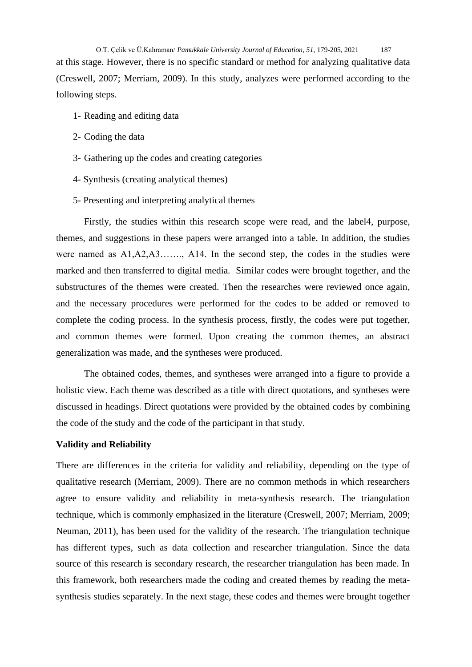O.T. Çelik ve Ü.Kahraman/ *Pamukkale University Journal of Education*, *51*, 179-205, 2021 187 at this stage. However, there is no specific standard or method for analyzing qualitative data (Creswell, 2007; Merriam, 2009). In this study, analyzes were performed according to the following steps.

- 1- Reading and editing data
- 2- Coding the data
- 3- Gathering up the codes and creating categories
- 4- Synthesis (creating analytical themes)
- 5- Presenting and interpreting analytical themes

Firstly, the studies within this research scope were read, and the label4, purpose, themes, and suggestions in these papers were arranged into a table. In addition, the studies were named as A1,A2,A3……., A14. In the second step, the codes in the studies were marked and then transferred to digital media. Similar codes were brought together, and the substructures of the themes were created. Then the researches were reviewed once again, and the necessary procedures were performed for the codes to be added or removed to complete the coding process. In the synthesis process, firstly, the codes were put together, and common themes were formed. Upon creating the common themes, an abstract generalization was made, and the syntheses were produced.

The obtained codes, themes, and syntheses were arranged into a figure to provide a holistic view. Each theme was described as a title with direct quotations, and syntheses were discussed in headings. Direct quotations were provided by the obtained codes by combining the code of the study and the code of the participant in that study.

### **Validity and Reliability**

There are differences in the criteria for validity and reliability, depending on the type of qualitative research (Merriam, 2009). There are no common methods in which researchers agree to ensure validity and reliability in meta-synthesis research. The triangulation technique, which is commonly emphasized in the literature (Creswell, 2007; Merriam, 2009; Neuman, 2011), has been used for the validity of the research. The triangulation technique has different types, such as data collection and researcher triangulation. Since the data source of this research is secondary research, the researcher triangulation has been made. In this framework, both researchers made the coding and created themes by reading the metasynthesis studies separately. In the next stage, these codes and themes were brought together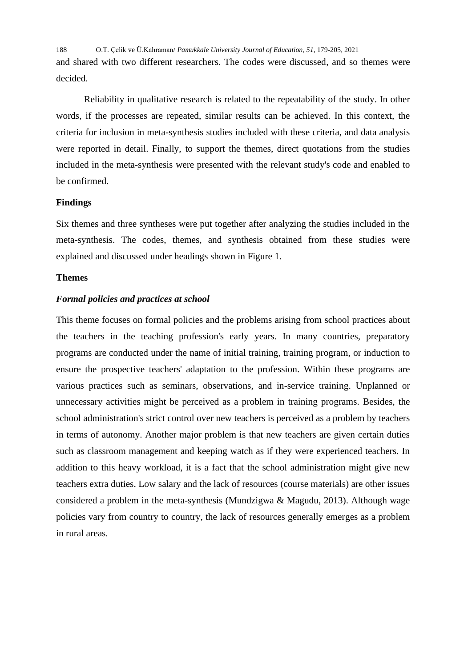188 O.T. Çelik ve Ü.Kahraman/ *Pamukkale University Journal of Education*, *51*, 179-205, 2021 and shared with two different researchers. The codes were discussed, and so themes were decided.

Reliability in qualitative research is related to the repeatability of the study. In other words, if the processes are repeated, similar results can be achieved. In this context, the criteria for inclusion in meta-synthesis studies included with these criteria, and data analysis were reported in detail. Finally, to support the themes, direct quotations from the studies included in the meta-synthesis were presented with the relevant study's code and enabled to be confirmed.

## **Findings**

Six themes and three syntheses were put together after analyzing the studies included in the meta-synthesis. The codes, themes, and synthesis obtained from these studies were explained and discussed under headings shown in Figure 1.

## **Themes**

## *Formal policies and practices at school*

This theme focuses on formal policies and the problems arising from school practices about the teachers in the teaching profession's early years. In many countries, preparatory programs are conducted under the name of initial training, training program, or induction to ensure the prospective teachers' adaptation to the profession. Within these programs are various practices such as seminars, observations, and in-service training. Unplanned or unnecessary activities might be perceived as a problem in training programs. Besides, the school administration's strict control over new teachers is perceived as a problem by teachers in terms of autonomy. Another major problem is that new teachers are given certain duties such as classroom management and keeping watch as if they were experienced teachers. In addition to this heavy workload, it is a fact that the school administration might give new teachers extra duties. Low salary and the lack of resources (course materials) are other issues considered a problem in the meta-synthesis (Mundzigwa & Magudu, 2013). Although wage policies vary from country to country, the lack of resources generally emerges as a problem in rural areas.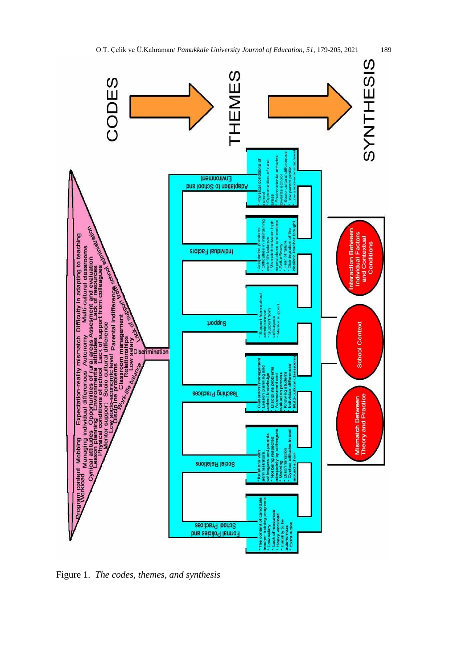

Figure 1.*The codes, themes, and synthesis*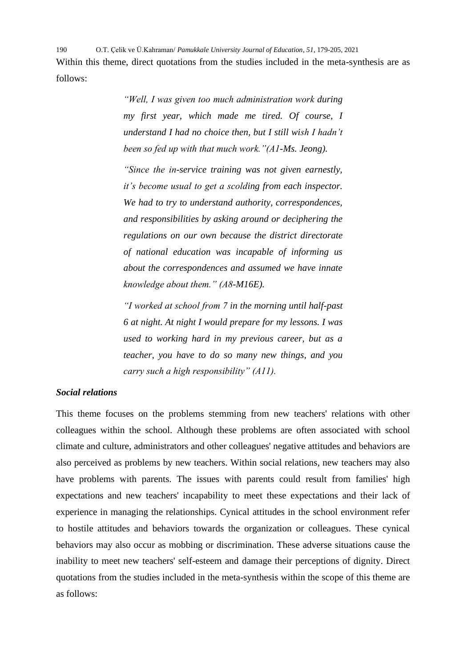190 O.T. Çelik ve Ü.Kahraman/ *Pamukkale University Journal of Education*, *51*, 179-205, 2021 Within this theme, direct quotations from the studies included in the meta-synthesis are as follows:

> *"Well, I was given too much administration work during my first year, which made me tired. Of course, I understand I had no choice then, but I still wish I hadn't been so fed up with that much work."(A1-Ms. Jeong).*

> *"Since the in-service training was not given earnestly, it's become usual to get a scolding from each inspector. We had to try to understand authority, correspondences, and responsibilities by asking around or deciphering the regulations on our own because the district directorate of national education was incapable of informing us about the correspondences and assumed we have innate knowledge about them." (A8-M16E).*

> *"I worked at school from 7 in the morning until half-past 6 at night. At night I would prepare for my lessons. I was used to working hard in my previous career, but as a teacher, you have to do so many new things, and you carry such a high responsibility" (A11).*

## *Social relations*

This theme focuses on the problems stemming from new teachers' relations with other colleagues within the school. Although these problems are often associated with school climate and culture, administrators and other colleagues' negative attitudes and behaviors are also perceived as problems by new teachers. Within social relations, new teachers may also have problems with parents. The issues with parents could result from families' high expectations and new teachers' incapability to meet these expectations and their lack of experience in managing the relationships. Cynical attitudes in the school environment refer to hostile attitudes and behaviors towards the organization or colleagues. These cynical behaviors may also occur as mobbing or discrimination. These adverse situations cause the inability to meet new teachers' self-esteem and damage their perceptions of dignity. Direct quotations from the studies included in the meta-synthesis within the scope of this theme are as follows: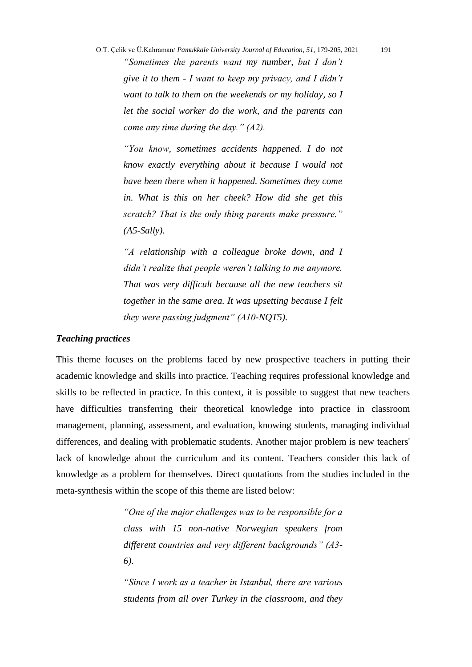O.T. Çelik ve Ü.Kahraman/ *Pamukkale University Journal of Education*, *51*, 179-205, 2021 191 *"Sometimes the parents want my number, but I don't give it to them - I want to keep my privacy, and I didn't want to talk to them on the weekends or my holiday, so I let the social worker do the work, and the parents can come any time during the day." (A2).*

*"You know, sometimes accidents happened. I do not know exactly everything about it because I would not have been there when it happened. Sometimes they come in. What is this on her cheek? How did she get this scratch? That is the only thing parents make pressure." (A5-Sally).*

*"A relationship with a colleague broke down, and I didn't realize that people weren't talking to me anymore. That was very difficult because all the new teachers sit together in the same area. It was upsetting because I felt they were passing judgment" (A10-NQT5).*

#### *Teaching practices*

This theme focuses on the problems faced by new prospective teachers in putting their academic knowledge and skills into practice. Teaching requires professional knowledge and skills to be reflected in practice. In this context, it is possible to suggest that new teachers have difficulties transferring their theoretical knowledge into practice in classroom management, planning, assessment, and evaluation, knowing students, managing individual differences, and dealing with problematic students. Another major problem is new teachers' lack of knowledge about the curriculum and its content. Teachers consider this lack of knowledge as a problem for themselves. Direct quotations from the studies included in the meta-synthesis within the scope of this theme are listed below:

> *"One of the major challenges was to be responsible for a class with 15 non-native Norwegian speakers from different countries and very different backgrounds" (A3- 6).*

> *"Since I work as a teacher in Istanbul, there are various students from all over Turkey in the classroom, and they*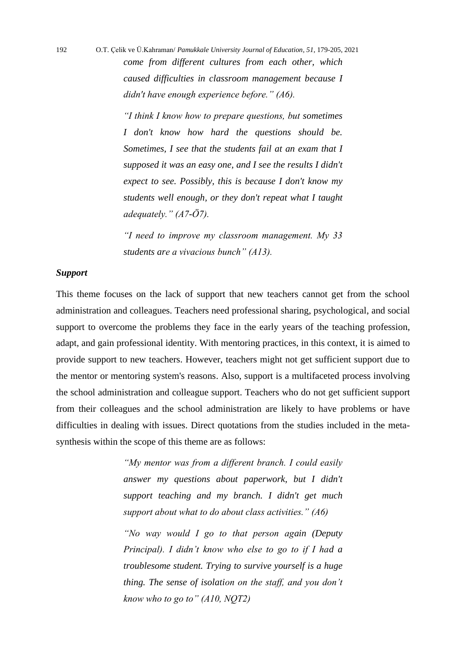192 O.T. Çelik ve Ü.Kahraman/ *Pamukkale University Journal of Education*, *51*, 179-205, 2021 *come from different cultures from each other, which caused difficulties in classroom management because I didn't have enough experience before." (A6).*

> *"I think I know how to prepare questions, but sometimes I don't know how hard the questions should be. Sometimes, I see that the students fail at an exam that I supposed it was an easy one, and I see the results I didn't expect to see. Possibly, this is because I don't know my students well enough, or they don't repeat what I taught adequately." (A7-Ö7).*

> *"I need to improve my classroom management. My 33 students are a vivacious bunch" (A13).*

## *Support*

This theme focuses on the lack of support that new teachers cannot get from the school administration and colleagues. Teachers need professional sharing, psychological, and social support to overcome the problems they face in the early years of the teaching profession, adapt, and gain professional identity. With mentoring practices, in this context, it is aimed to provide support to new teachers. However, teachers might not get sufficient support due to the mentor or mentoring system's reasons. Also, support is a multifaceted process involving the school administration and colleague support. Teachers who do not get sufficient support from their colleagues and the school administration are likely to have problems or have difficulties in dealing with issues. Direct quotations from the studies included in the metasynthesis within the scope of this theme are as follows:

> *"My mentor was from a different branch. I could easily answer my questions about paperwork, but I didn't support teaching and my branch. I didn't get much support about what to do about class activities." (A6)*

> *"No way would I go to that person again (Deputy Principal). I didn't know who else to go to if I had a troublesome student. Trying to survive yourself is a huge thing. The sense of isolation on the staff, and you don't know who to go to" (A10, NQT2)*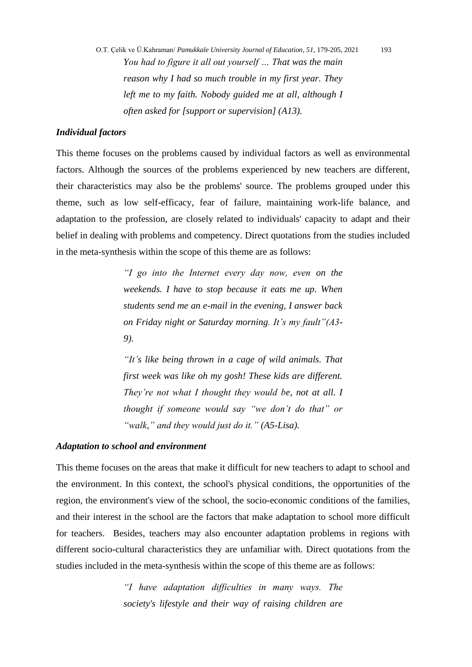O.T. Çelik ve Ü.Kahraman/ *Pamukkale University Journal of Education*, *51*, 179-205, 2021 193 *You had to figure it all out yourself … That was the main reason why I had so much trouble in my first year. They left me to my faith. Nobody guided me at all, although I often asked for [support or supervision] (A13).*

## *Individual factors*

This theme focuses on the problems caused by individual factors as well as environmental factors. Although the sources of the problems experienced by new teachers are different, their characteristics may also be the problems' source. The problems grouped under this theme, such as low self-efficacy, fear of failure, maintaining work-life balance, and adaptation to the profession, are closely related to individuals' capacity to adapt and their belief in dealing with problems and competency. Direct quotations from the studies included in the meta-synthesis within the scope of this theme are as follows:

> *"I go into the Internet every day now, even on the weekends. I have to stop because it eats me up. When students send me an e-mail in the evening, I answer back on Friday night or Saturday morning. It's my fault"(A3- 9).*

> *"It's like being thrown in a cage of wild animals. That first week was like oh my gosh! These kids are different. They're not what I thought they would be, not at all. I thought if someone would say "we don't do that" or "walk," and they would just do it." (A5-Lisa).*

#### *Adaptation to school and environment*

This theme focuses on the areas that make it difficult for new teachers to adapt to school and the environment. In this context, the school's physical conditions, the opportunities of the region, the environment's view of the school, the socio-economic conditions of the families, and their interest in the school are the factors that make adaptation to school more difficult for teachers. Besides, teachers may also encounter adaptation problems in regions with different socio-cultural characteristics they are unfamiliar with. Direct quotations from the studies included in the meta-synthesis within the scope of this theme are as follows:

> *"I have adaptation difficulties in many ways. The society's lifestyle and their way of raising children are*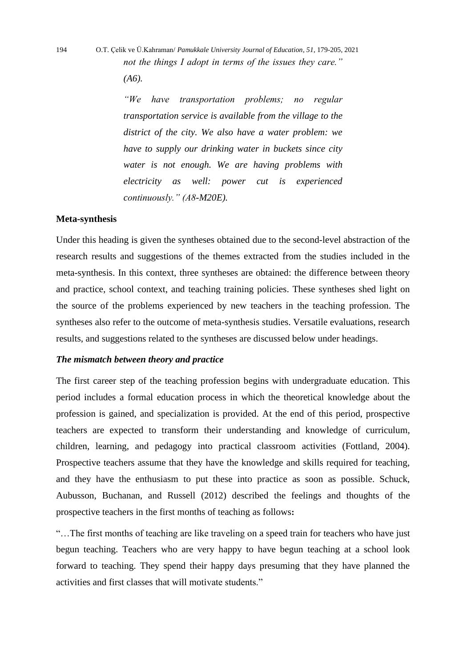194 O.T. Çelik ve Ü.Kahraman/ *Pamukkale University Journal of Education*, *51*, 179-205, 2021 *not the things I adopt in terms of the issues they care."* 

*(A6).*

*"We have transportation problems; no regular transportation service is available from the village to the district of the city. We also have a water problem: we have to supply our drinking water in buckets since city water is not enough. We are having problems with electricity as well: power cut is experienced continuously." (A8-M20E).*

### **Meta-synthesis**

Under this heading is given the syntheses obtained due to the second-level abstraction of the research results and suggestions of the themes extracted from the studies included in the meta-synthesis. In this context, three syntheses are obtained: the difference between theory and practice, school context, and teaching training policies. These syntheses shed light on the source of the problems experienced by new teachers in the teaching profession. The syntheses also refer to the outcome of meta-synthesis studies. Versatile evaluations, research results, and suggestions related to the syntheses are discussed below under headings.

### *The mismatch between theory and practice*

The first career step of the teaching profession begins with undergraduate education. This period includes a formal education process in which the theoretical knowledge about the profession is gained, and specialization is provided. At the end of this period, prospective teachers are expected to transform their understanding and knowledge of curriculum, children, learning, and pedagogy into practical classroom activities (Fottland, 2004). Prospective teachers assume that they have the knowledge and skills required for teaching, and they have the enthusiasm to put these into practice as soon as possible. Schuck, Aubusson, Buchanan, and Russell (2012) described the feelings and thoughts of the prospective teachers in the first months of teaching as follows**:**

"…The first months of teaching are like traveling on a speed train for teachers who have just begun teaching. Teachers who are very happy to have begun teaching at a school look forward to teaching. They spend their happy days presuming that they have planned the activities and first classes that will motivate students."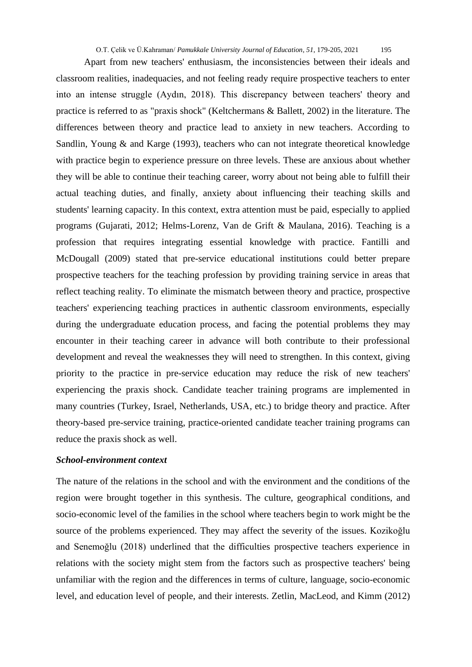Apart from new teachers' enthusiasm, the inconsistencies between their ideals and classroom realities, inadequacies, and not feeling ready require prospective teachers to enter into an intense struggle (Aydın, 2018). This discrepancy between teachers' theory and practice is referred to as "praxis shock" (Keltchermans & Ballett, 2002) in the literature. The differences between theory and practice lead to anxiety in new teachers. According to Sandlin, Young & and Karge (1993), teachers who can not integrate theoretical knowledge with practice begin to experience pressure on three levels. These are anxious about whether they will be able to continue their teaching career, worry about not being able to fulfill their actual teaching duties, and finally, anxiety about influencing their teaching skills and students' learning capacity. In this context, extra attention must be paid, especially to applied programs (Gujarati, 2012; Helms-Lorenz, Van de Grift & Maulana, 2016). Teaching is a profession that requires integrating essential knowledge with practice. Fantilli and McDougall (2009) stated that pre-service educational institutions could better prepare prospective teachers for the teaching profession by providing training service in areas that reflect teaching reality. To eliminate the mismatch between theory and practice, prospective teachers' experiencing teaching practices in authentic classroom environments, especially during the undergraduate education process, and facing the potential problems they may encounter in their teaching career in advance will both contribute to their professional development and reveal the weaknesses they will need to strengthen. In this context, giving priority to the practice in pre-service education may reduce the risk of new teachers' experiencing the praxis shock. Candidate teacher training programs are implemented in many countries (Turkey, Israel, Netherlands, USA, etc.) to bridge theory and practice. After theory-based pre-service training, practice-oriented candidate teacher training programs can reduce the praxis shock as well.

### *School-environment context*

The nature of the relations in the school and with the environment and the conditions of the region were brought together in this synthesis. The culture, geographical conditions, and socio-economic level of the families in the school where teachers begin to work might be the source of the problems experienced. They may affect the severity of the issues. Kozikoğlu and Senemoğlu (2018) underlined that the difficulties prospective teachers experience in relations with the society might stem from the factors such as prospective teachers' being unfamiliar with the region and the differences in terms of culture, language, socio-economic level, and education level of people, and their interests. Zetlin, MacLeod, and Kimm (2012)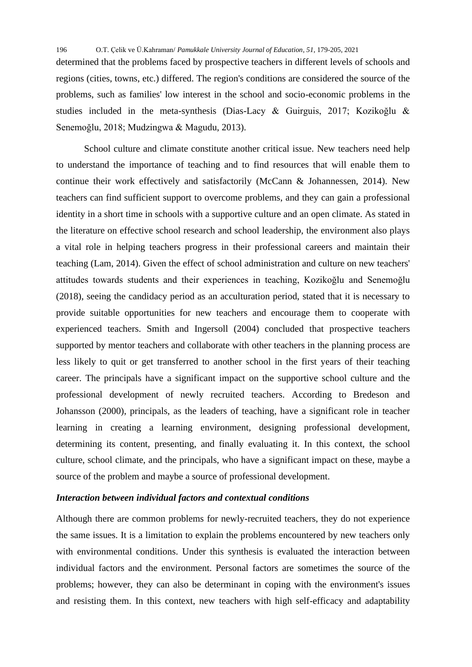determined that the problems faced by prospective teachers in different levels of schools and regions (cities, towns, etc.) differed. The region's conditions are considered the source of the problems, such as families' low interest in the school and socio-economic problems in the studies included in the meta-synthesis (Dias-Lacy & Guirguis, 2017; Kozikoğlu & Senemoğlu, 2018; Mudzingwa & Magudu, 2013).

School culture and climate constitute another critical issue. New teachers need help to understand the importance of teaching and to find resources that will enable them to continue their work effectively and satisfactorily (McCann & Johannessen, 2014). New teachers can find sufficient support to overcome problems, and they can gain a professional identity in a short time in schools with a supportive culture and an open climate. As stated in the literature on effective school research and school leadership, the environment also plays a vital role in helping teachers progress in their professional careers and maintain their teaching (Lam, 2014). Given the effect of school administration and culture on new teachers' attitudes towards students and their experiences in teaching, Kozikoğlu and Senemoğlu (2018), seeing the candidacy period as an acculturation period, stated that it is necessary to provide suitable opportunities for new teachers and encourage them to cooperate with experienced teachers. Smith and Ingersoll (2004) concluded that prospective teachers supported by mentor teachers and collaborate with other teachers in the planning process are less likely to quit or get transferred to another school in the first years of their teaching career. The principals have a significant impact on the supportive school culture and the professional development of newly recruited teachers. According to Bredeson and Johansson (2000), principals, as the leaders of teaching, have a significant role in teacher learning in creating a learning environment, designing professional development, determining its content, presenting, and finally evaluating it. In this context, the school culture, school climate, and the principals, who have a significant impact on these, maybe a source of the problem and maybe a source of professional development.

### *Interaction between individual factors and contextual conditions*

Although there are common problems for newly-recruited teachers, they do not experience the same issues. It is a limitation to explain the problems encountered by new teachers only with environmental conditions. Under this synthesis is evaluated the interaction between individual factors and the environment. Personal factors are sometimes the source of the problems; however, they can also be determinant in coping with the environment's issues and resisting them. In this context, new teachers with high self-efficacy and adaptability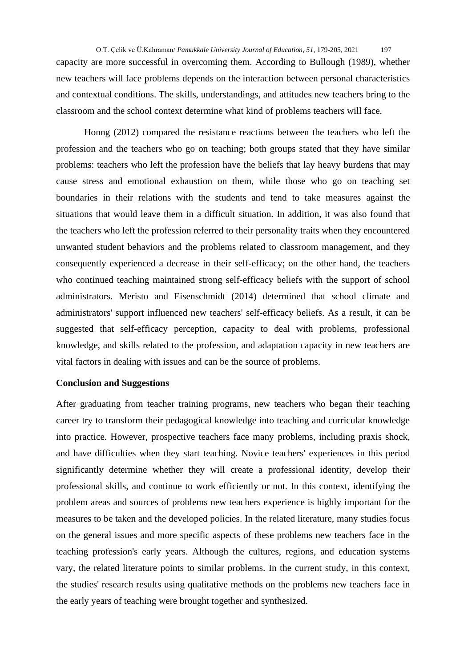O.T. Çelik ve Ü.Kahraman/ *Pamukkale University Journal of Education*, *51*, 179-205, 2021 197 capacity are more successful in overcoming them. According to Bullough (1989), whether new teachers will face problems depends on the interaction between personal characteristics and contextual conditions. The skills, understandings, and attitudes new teachers bring to the classroom and the school context determine what kind of problems teachers will face.

Honng (2012) compared the resistance reactions between the teachers who left the profession and the teachers who go on teaching; both groups stated that they have similar problems: teachers who left the profession have the beliefs that lay heavy burdens that may cause stress and emotional exhaustion on them, while those who go on teaching set boundaries in their relations with the students and tend to take measures against the situations that would leave them in a difficult situation. In addition, it was also found that the teachers who left the profession referred to their personality traits when they encountered unwanted student behaviors and the problems related to classroom management, and they consequently experienced a decrease in their self-efficacy; on the other hand, the teachers who continued teaching maintained strong self-efficacy beliefs with the support of school administrators. Meristo and Eisenschmidt (2014) determined that school climate and administrators' support influenced new teachers' self-efficacy beliefs. As a result, it can be suggested that self-efficacy perception, capacity to deal with problems, professional knowledge, and skills related to the profession, and adaptation capacity in new teachers are vital factors in dealing with issues and can be the source of problems.

### **Conclusion and Suggestions**

After graduating from teacher training programs, new teachers who began their teaching career try to transform their pedagogical knowledge into teaching and curricular knowledge into practice. However, prospective teachers face many problems, including praxis shock, and have difficulties when they start teaching. Novice teachers' experiences in this period significantly determine whether they will create a professional identity, develop their professional skills, and continue to work efficiently or not. In this context, identifying the problem areas and sources of problems new teachers experience is highly important for the measures to be taken and the developed policies. In the related literature, many studies focus on the general issues and more specific aspects of these problems new teachers face in the teaching profession's early years. Although the cultures, regions, and education systems vary, the related literature points to similar problems. In the current study, in this context, the studies' research results using qualitative methods on the problems new teachers face in the early years of teaching were brought together and synthesized.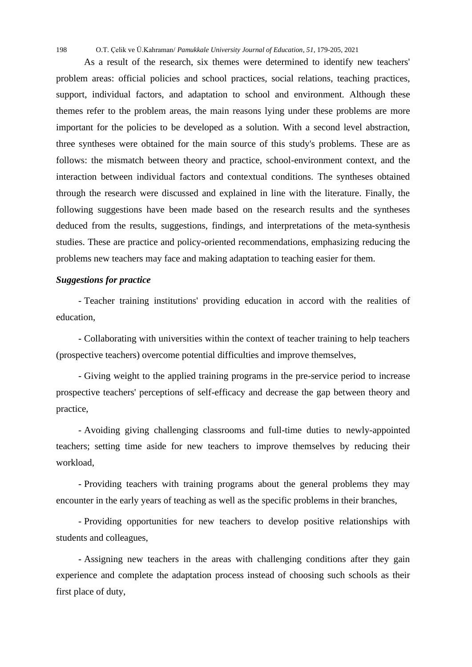As a result of the research, six themes were determined to identify new teachers' problem areas: official policies and school practices, social relations, teaching practices, support, individual factors, and adaptation to school and environment. Although these themes refer to the problem areas, the main reasons lying under these problems are more important for the policies to be developed as a solution. With a second level abstraction, three syntheses were obtained for the main source of this study's problems. These are as follows: the mismatch between theory and practice, school-environment context, and the interaction between individual factors and contextual conditions. The syntheses obtained through the research were discussed and explained in line with the literature. Finally, the following suggestions have been made based on the research results and the syntheses deduced from the results, suggestions, findings, and interpretations of the meta-synthesis studies. These are practice and policy-oriented recommendations, emphasizing reducing the problems new teachers may face and making adaptation to teaching easier for them.

## *Suggestions for practice*

- Teacher training institutions' providing education in accord with the realities of education,

- Collaborating with universities within the context of teacher training to help teachers (prospective teachers) overcome potential difficulties and improve themselves,

- Giving weight to the applied training programs in the pre-service period to increase prospective teachers' perceptions of self-efficacy and decrease the gap between theory and practice,

- Avoiding giving challenging classrooms and full-time duties to newly-appointed teachers; setting time aside for new teachers to improve themselves by reducing their workload,

- Providing teachers with training programs about the general problems they may encounter in the early years of teaching as well as the specific problems in their branches,

- Providing opportunities for new teachers to develop positive relationships with students and colleagues,

- Assigning new teachers in the areas with challenging conditions after they gain experience and complete the adaptation process instead of choosing such schools as their first place of duty,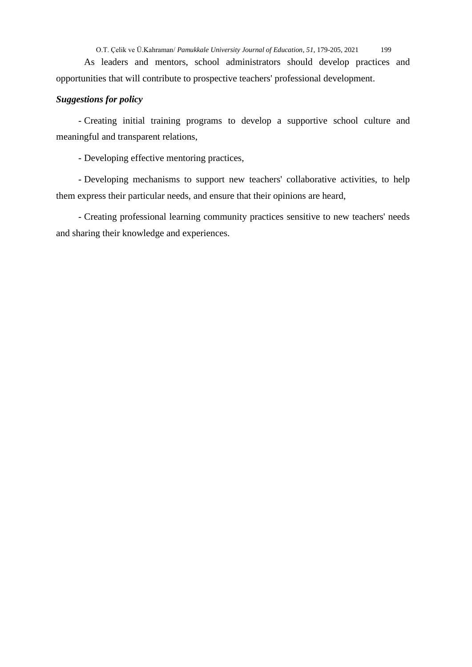As leaders and mentors, school administrators should develop practices and opportunities that will contribute to prospective teachers' professional development.

## *Suggestions for policy*

- Creating initial training programs to develop a supportive school culture and meaningful and transparent relations,

- Developing effective mentoring practices,

- Developing mechanisms to support new teachers' collaborative activities, to help them express their particular needs, and ensure that their opinions are heard,

- Creating professional learning community practices sensitive to new teachers' needs and sharing their knowledge and experiences.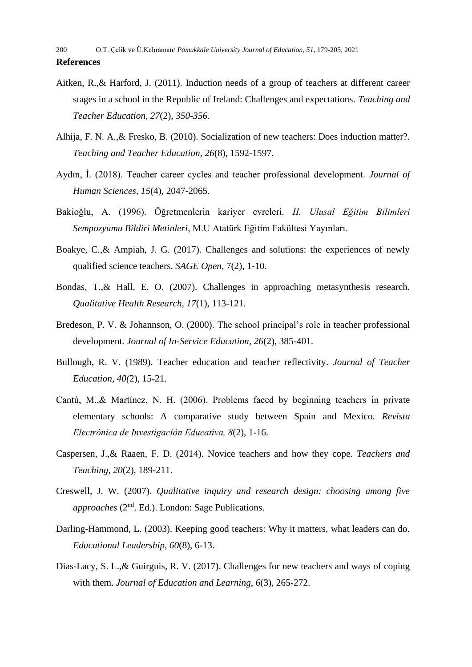- Aitken, R.,& Harford, J. (2011). Induction needs of a group of teachers at different career stages in a school in the Republic of Ireland: Challenges and expectations. *Teaching and Teacher Education, 27*(2), *350-356.*
- Alhija, F. N. A.,& Fresko, B. (2010). Socialization of new teachers: Does induction matter?. *Teaching and Teacher Education, 26*(8), 1592-1597.
- Aydın, İ. (2018). Teacher career cycles and teacher professional development. *Journal of Human Sciences, 15*(4), 2047-2065.
- Bakioğlu, A. (1996). Öğretmenlerin kariyer evreleri*. II. Ulusal Eğitim Bilimleri Sempozyumu Bildiri Metinleri*, M.U Atatürk Eğitim Fakültesi Yayınları.
- Boakye, C.,& Ampiah, J. G. (2017). Challenges and solutions: the experiences of newly qualified science teachers. *SAGE Open,* 7(2), 1-10.
- Bondas, T.,& Hall, E. O. (2007). Challenges in approaching metasynthesis research. *Qualitative Health Research, 17*(1), 113-121.
- Bredeson, P. V. & Johannson, O. (2000). The school principal's role in teacher professional development*. Journal of In-Service Education, 26*(2), 385-401.
- Bullough, R. V. (1989). Teacher education and teacher reflectivity. *Journal of Teacher Education, 40(*2), 15-21.
- Cantú, M.,& Martínez, N. H. (2006). Problems faced by beginning teachers in private elementary schools: A comparative study between Spain and Mexico. *Revista Electrónica de Investigación Educativa, 8*(2), 1-16.
- Caspersen, J.,& Raaen, F. D. (2014). Novice teachers and how they cope. *Teachers and Teaching, 20*(2), 189-211.
- Creswell, J. W. (2007). *Qualitative inquiry and research design: choosing among five approaches* (2nd. Ed.). London: Sage Publications.
- Darling-Hammond, L. (2003). Keeping good teachers: Why it matters, what leaders can do. *Educational Leadership, 60*(8), 6-13.
- Dias-Lacy, S. L.,& Guirguis, R. V. (2017). Challenges for new teachers and ways of coping with them. *Journal of Education and Learning, 6*(3), 265-272.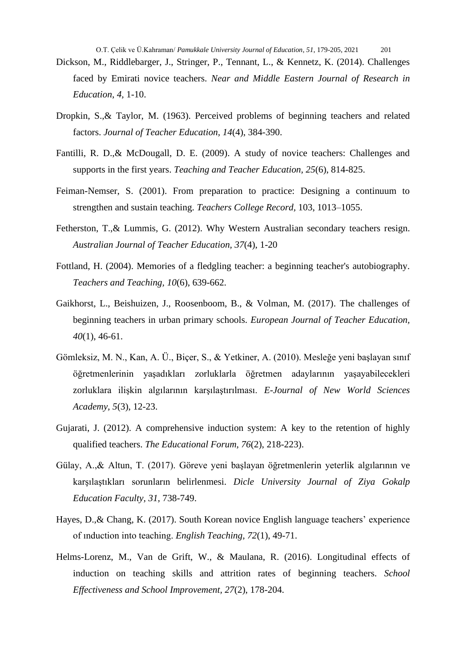- Dickson, M., Riddlebarger, J., Stringer, P., Tennant, L., & Kennetz, K. (2014). Challenges faced by Emirati novice teachers. *Near and Middle Eastern Journal of Research in Education*, *4,* 1-10.
- Dropkin, S.,& Taylor, M. (1963). Perceived problems of beginning teachers and related factors. *Journal of Teacher Education, 14*(4), 384-390.
- Fantilli, R. D.,& McDougall, D. E. (2009). A study of novice teachers: Challenges and supports in the first years. *Teaching and Teacher Education, 25*(6), 814-825.
- Feiman-Nemser, S. (2001). From preparation to practice: Designing a continuum to strengthen and sustain teaching. *Teachers College Record,* 103, 1013–1055.
- Fetherston, T.,& Lummis, G. (2012). Why Western Australian secondary teachers resign. *Australian Journal of Teacher Education, 37*(4), 1-20
- Fottland, H. (2004). Memories of a fledgling teacher: a beginning teacher's autobiography. *Teachers and Teaching, 10*(6), 639-662.
- Gaikhorst, L., Beishuizen, J., Roosenboom, B., & Volman, M. (2017). The challenges of beginning teachers in urban primary schools. *European Journal of Teacher Education, 40*(1), 46-61.
- Gömleksiz, M. N., Kan, A. Ü., Biçer, S., & Yetkiner, A. (2010). Mesleğe yeni başlayan sınıf öğretmenlerinin yaşadıkları zorluklarla öğretmen adaylarının yaşayabilecekleri zorluklara ilişkin algılarının karşılaştırılması. *E-Journal of New World Sciences Academy, 5*(3), 12-23.
- Gujarati, J. (2012). A comprehensive induction system: A key to the retention of highly qualified teachers. *The Educational Forum, 76*(2), 218-223).
- Gülay, A.,& Altun, T. (2017). Göreve yeni başlayan öğretmenlerin yeterlik algılarının ve karşılaştıkları sorunların belirlenmesi. *Dicle University Journal of Ziya Gokalp Education Faculty, 31,* 738-749.
- Hayes, D.,& Chang, K. (2017). South Korean novice English language teachers' experience of ınduction into teaching. *English Teaching, 72*(1), 49-71.
- Helms-Lorenz, M., Van de Grift, W., & Maulana, R. (2016). Longitudinal effects of induction on teaching skills and attrition rates of beginning teachers. *School Effectiveness and School Improvement, 27*(2), 178-204.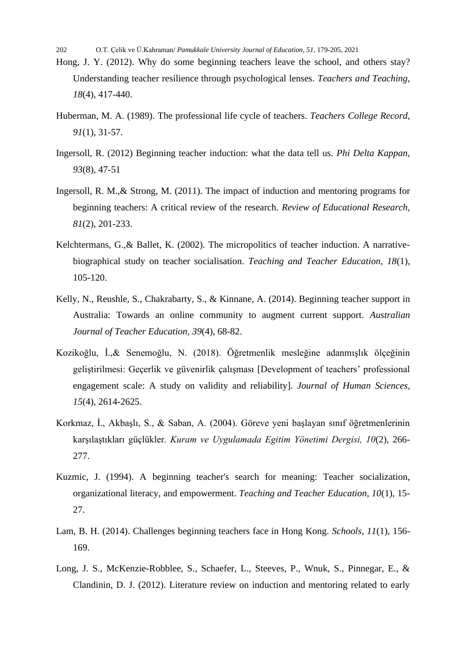- Hong, J. Y. (2012). Why do some beginning teachers leave the school, and others stay? Understanding teacher resilience through psychological lenses. *Teachers and Teaching, 18*(4), 417-440.
- Huberman, M. A. (1989). The professional life cycle of teachers. *Teachers College Record, 91*(1), 31-57.
- Ingersoll, R. (2012) Beginning teacher induction: what the data tell us. *Phi Delta Kappan, 93*(8), 47-51
- Ingersoll, R. M.,& Strong, M. (2011). The impact of induction and mentoring programs for beginning teachers: A critical review of the research. *Review of Educational Research, 81*(2), 201-233.
- Kelchtermans, G.,& Ballet, K. (2002). The micropolitics of teacher induction. A narrativebiographical study on teacher socialisation. *Teaching and Teacher Education, 18*(1), 105-120.
- Kelly, N., Reushle, S., Chakrabarty, S., & Kinnane, A. (2014). Beginning teacher support in Australia: Towards an online community to augment current support. *Australian Journal of Teacher Education, 39*(4), 68-82.
- Kozikoğlu, İ.,& Senemoğlu, N. (2018). Öğretmenlik mesleğine adanmışlık ölçeğinin geliştirilmesi: Geçerlik ve güvenirlik çalışması [Development of teachers' professional engagement scale: A study on validity and reliability]. *Journal of Human Sciences, 15*(4), 2614-2625.
- Korkmaz, İ., Akbaşlı, S., & Saban, A. (2004). Göreve yeni başlayan sınıf öğretmenlerinin karşılaştıkları güçlükler. *Kuram ve Uygulamada Egitim Yönetimi Dergisi, 10*(2), 266- 277.
- Kuzmic, J. (1994). A beginning teacher's search for meaning: Teacher socialization, organizational literacy, and empowerment. *Teaching and Teacher Education, 10*(1), 15- 27.
- Lam, B. H. (2014). Challenges beginning teachers face in Hong Kong. *Schools, 11*(1), 156- 169.
- Long, J. S., McKenzie-Robblee, S., Schaefer, L., Steeves, P., Wnuk, S., Pinnegar, E., & Clandinin, D. J. (2012). Literature review on induction and mentoring related to early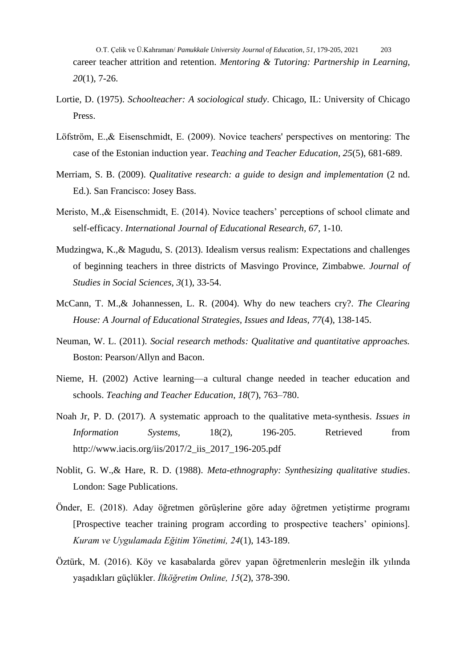O.T. Çelik ve Ü.Kahraman/ *Pamukkale University Journal of Education*, *51*, 179-205, 2021 203 career teacher attrition and retention. *Mentoring & Tutoring: Partnership in Learning, 20*(1), 7-26.

- Lortie, D. (1975). *Schoolteacher: A sociological study*. Chicago, IL: University of Chicago Press.
- Löfström, E.,& Eisenschmidt, E. (2009). Novice teachers' perspectives on mentoring: The case of the Estonian induction year. *Teaching and Teacher Education, 25*(5), 681-689.
- Merriam, S. B. (2009). *Qualitative research: a guide to design and implementation* (2 nd. Ed.). San Francisco: Josey Bass.
- Meristo, M.,& Eisenschmidt, E. (2014). Novice teachers' perceptions of school climate and self-efficacy. *International Journal of Educational Research, 67,* 1-10.
- Mudzingwa, K.,& Magudu, S. (2013). Idealism versus realism: Expectations and challenges of beginning teachers in three districts of Masvingo Province, Zimbabwe. *Journal of Studies in Social Sciences, 3*(1), 33-54.
- McCann, T. M.,& Johannessen, L. R. (2004). Why do new teachers cry?. *The Clearing House: A Journal of Educational Strategies, Issues and Ideas, 77*(4), 138-145.
- Neuman, W. L. (2011). *Social research methods: Qualitative and quantitative approaches.* Boston: Pearson/Allyn and Bacon.
- Nieme, H. (2002) Active learning—a cultural change needed in teacher education and schools. *Teaching and Teacher Education, 18*(7), 763–780.
- Noah Jr, P. D. (2017). A systematic approach to the qualitative meta-synthesis. *Issues in Information Systems,* 18(2), 196-205. Retrieved from http://www.iacis.org/iis/2017/2\_iis\_2017\_196-205.pdf
- Noblit, G. W.,& Hare, R. D. (1988). *Meta-ethnography: Synthesizing qualitative studies*. London: Sage Publications.
- Önder, E. (2018). Aday öğretmen görüşlerine göre aday öğretmen yetiştirme programı [Prospective teacher training program according to prospective teachers' opinions]. *Kuram ve Uygulamada Eğitim Yönetimi, 24*(1), 143-189.
- Öztürk, M. (2016). Köy ve kasabalarda görev yapan öğretmenlerin mesleğin ilk yılında yaşadıkları güçlükler. *İlköğretim Online, 15*(2), 378-390.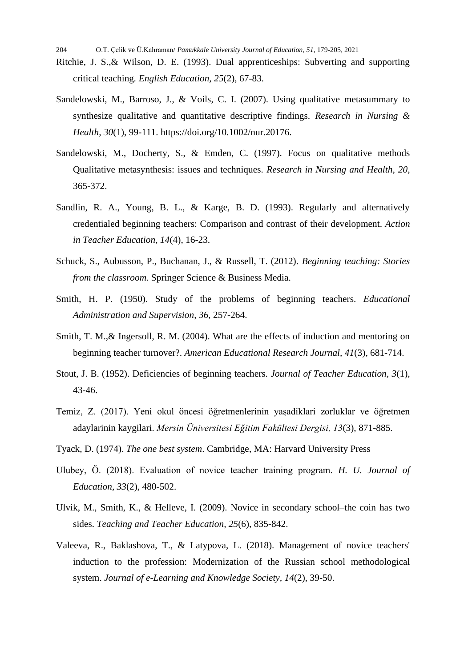- Ritchie, J. S.,& Wilson, D. E. (1993). Dual apprenticeships: Subverting and supporting critical teaching*. English Education, 25*(2), 67-83.
- Sandelowski, M., Barroso, J., & Voils, C. I. (2007). Using qualitative metasummary to synthesize qualitative and quantitative descriptive findings. *Research in Nursing & Health, 30*(1), 99-111. https://doi.org/10.1002/nur.20176.
- Sandelowski, M., Docherty, S., & Emden, C. (1997). Focus on qualitative methods Qualitative metasynthesis: issues and techniques. *Research in Nursing and Health, 20,* 365-372.
- Sandlin, R. A., Young, B. L., & Karge, B. D. (1993). Regularly and alternatively credentialed beginning teachers: Comparison and contrast of their development. *Action in Teacher Education, 14*(4), 16-23.
- Schuck, S., Aubusson, P., Buchanan, J., & Russell, T. (2012). *Beginning teaching: Stories from the classroom.* Springer Science & Business Media.
- Smith, H. P. (1950). Study of the problems of beginning teachers. *Educational Administration and Supervision, 36,* 257-264.
- Smith, T. M.,& Ingersoll, R. M. (2004). What are the effects of induction and mentoring on beginning teacher turnover?. *American Educational Research Journal, 41*(3), 681-714.
- Stout, J. B. (1952). Deficiencies of beginning teachers. *Journal of Teacher Education, 3*(1), 43-46.
- Temiz, Z. (2017). Yeni okul öncesi öğretmenlerinin yaşadiklari zorluklar ve öğretmen adaylarinin kaygilari. *Mersin Üniversitesi Eğitim Fakültesi Dergisi, 13*(3), 871-885.
- Tyack, D. (1974). *The one best system*. Cambridge, MA: Harvard University Press
- Ulubey, Ö. (2018). Evaluation of novice teacher training program. *H. U. Journal of Education, 33*(2), 480-502.
- Ulvik, M., Smith, K., & Helleve, I. (2009). Novice in secondary school–the coin has two sides. *Teaching and Teacher Education, 25*(6), 835-842.
- Valeeva, R., Baklashova, T., & Latypova, L. (2018). Management of novice teachers' induction to the profession: Modernization of the Russian school methodological system. *Journal of e-Learning and Knowledge Society, 14*(2), 39-50.